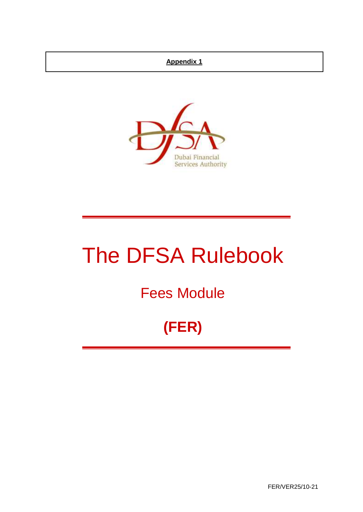## **Appendix 1**



# The DFSA Rulebook

## Fees Module

## **(FER)**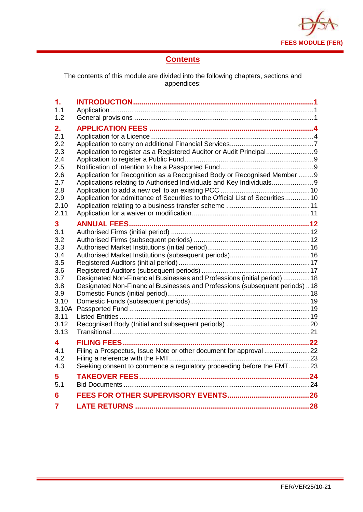

## **Contents**

The contents of this module are divided into the following chapters, sections and appendices:

| $\mathbf 1$ . |                                                                                |  |
|---------------|--------------------------------------------------------------------------------|--|
| 1.1           |                                                                                |  |
| 1.2           |                                                                                |  |
| 2.            |                                                                                |  |
| 2.1           |                                                                                |  |
| 2.2           |                                                                                |  |
| 2.3           | Application to register as a Registered Auditor or Audit Principal9            |  |
| 2.4           |                                                                                |  |
| 2.5           |                                                                                |  |
| 2.6           | Application for Recognition as a Recognised Body or Recognised Member 9        |  |
| 2.7           | Applications relating to Authorised Individuals and Key Individuals9           |  |
| 2.8           |                                                                                |  |
| 2.9<br>2.10   | Application for admittance of Securities to the Official List of Securities 10 |  |
| 2.11          |                                                                                |  |
|               |                                                                                |  |
| 3             |                                                                                |  |
| 3.1<br>3.2    |                                                                                |  |
| 3.3           |                                                                                |  |
| 3.4           |                                                                                |  |
| 3.5           |                                                                                |  |
| 3.6           |                                                                                |  |
| 3.7           | Designated Non-Financial Businesses and Professions (initial period)  18       |  |
| 3.8           | Designated Non-Financial Businesses and Professions (subsequent periods)18     |  |
| 3.9           |                                                                                |  |
| 3.10          |                                                                                |  |
| 3.10A         |                                                                                |  |
| 3.11          |                                                                                |  |
| 3.12<br>3.13  |                                                                                |  |
|               |                                                                                |  |
| 4             |                                                                                |  |
| 4.1           |                                                                                |  |
| 4.2           | Seeking consent to commence a regulatory proceeding before the FMT23           |  |
| 4.3           |                                                                                |  |
| 5             |                                                                                |  |
| 5.1           |                                                                                |  |
| 6             |                                                                                |  |
| 7             |                                                                                |  |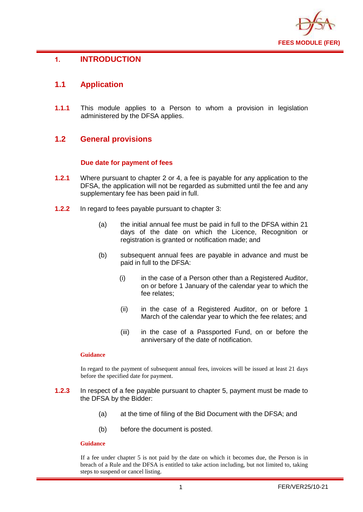

## <span id="page-2-0"></span>**1. INTRODUCTION**

## <span id="page-2-1"></span>**1.1 Application**

**1.1.1** This module applies to a Person to whom a provision in legislation administered by the DFSA applies.

## <span id="page-2-2"></span>**1.2 General provisions**

#### **Due date for payment of fees**

- **1.2.1** Where pursuant to chapter 2 or 4, a fee is payable for any application to the DFSA, the application will not be regarded as submitted until the fee and any supplementary fee has been paid in full.
- **1.2.2** In regard to fees payable pursuant to chapter 3:
	- (a) the initial annual fee must be paid in full to the DFSA within 21 days of the date on which the Licence, Recognition or registration is granted or notification made; and
	- (b) subsequent annual fees are payable in advance and must be paid in full to the DFSA:
		- (i) in the case of a Person other than a Registered Auditor, on or before 1 January of the calendar year to which the fee relates;
		- (ii) in the case of a Registered Auditor, on or before 1 March of the calendar year to which the fee relates; and
		- (iii) in the case of a Passported Fund, on or before the anniversary of the date of notification.

#### **Guidance**

In regard to the payment of subsequent annual fees, invoices will be issued at least 21 days before the specified date for payment.

- **1.2.3** In respect of a fee payable pursuant to chapter 5, payment must be made to the DFSA by the Bidder:
	- (a) at the time of filing of the Bid Document with the DFSA; and
	- (b) before the document is posted.

#### **Guidance**

If a fee under chapter 5 is not paid by the date on which it becomes due, the Person is in breach of a Rule and the DFSA is entitled to take action including, but not limited to, taking steps to suspend or cancel listing.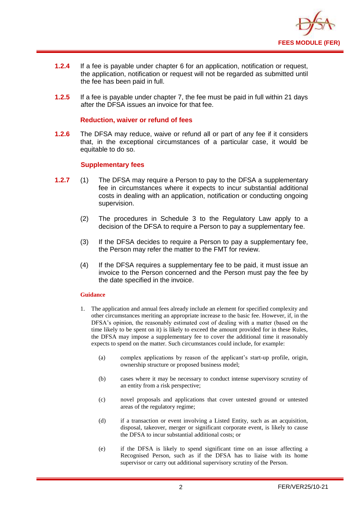

- **1.2.4** If a fee is payable under chapter 6 for an application, notification or request, the application, notification or request will not be regarded as submitted until the fee has been paid in full.
- **1.2.5** If a fee is payable under chapter 7, the fee must be paid in full within 21 days after the DFSA issues an invoice for that fee.

#### **Reduction, waiver or refund of fees**

**1.2.6** The DFSA may reduce, waive or refund all or part of any fee if it considers that, in the exceptional circumstances of a particular case, it would be equitable to do so.

#### **Supplementary fees**

- **1.2.7** (1) The DFSA may require a Person to pay to the DFSA a supplementary fee in circumstances where it expects to incur substantial additional costs in dealing with an application, notification or conducting ongoing supervision.
	- (2) The procedures in Schedule 3 to the Regulatory Law apply to a decision of the DFSA to require a Person to pay a supplementary fee.
	- (3) If the DFSA decides to require a Person to pay a supplementary fee, the Person may refer the matter to the FMT for review.
	- (4) If the DFSA requires a supplementary fee to be paid, it must issue an invoice to the Person concerned and the Person must pay the fee by the date specified in the invoice.

#### **Guidance**

- 1. The application and annual fees already include an element for specified complexity and other circumstances meriting an appropriate increase to the basic fee. However, if, in the DFSA's opinion, the reasonably estimated cost of dealing with a matter (based on the time likely to be spent on it) is likely to exceed the amount provided for in these Rules, the DFSA may impose a supplementary fee to cover the additional time it reasonably expects to spend on the matter. Such circumstances could include, for example:
	- (a) complex applications by reason of the applicant's start-up profile, origin, ownership structure or proposed business model;
	- (b) cases where it may be necessary to conduct intense supervisory scrutiny of an entity from a risk perspective;
	- (c) novel proposals and applications that cover untested ground or untested areas of the regulatory regime;
	- (d) if a transaction or event involving a Listed Entity, such as an acquisition, disposal, takeover, merger or significant corporate event, is likely to cause the DFSA to incur substantial additional costs; or
	- (e) if the DFSA is likely to spend significant time on an issue affecting a Recognised Person, such as if the DFSA has to liaise with its home supervisor or carry out additional supervisory scrutiny of the Person.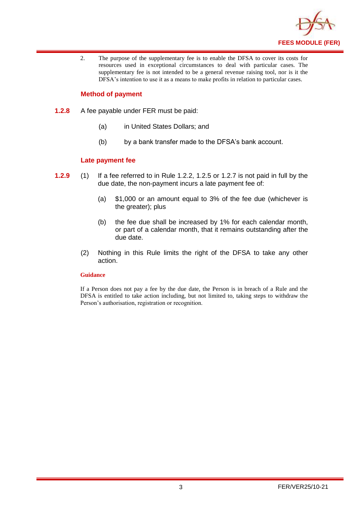

2. The purpose of the supplementary fee is to enable the DFSA to cover its costs for resources used in exceptional circumstances to deal with particular cases. The supplementary fee is not intended to be a general revenue raising tool, nor is it the DFSA's intention to use it as a means to make profits in relation to particular cases.

#### **Method of payment**

- **1.2.8** A fee payable under FER must be paid:
	- (a) in United States Dollars; and
	- (b) by a bank transfer made to the DFSA's bank account.

#### **Late payment fee**

- **1.2.9** (1) If a fee referred to in Rule 1.2.2, 1.2.5 or 1.2.7 is not paid in full by the due date, the non-payment incurs a late payment fee of:
	- (a) \$1,000 or an amount equal to 3% of the fee due (whichever is the greater); plus
	- (b) the fee due shall be increased by 1% for each calendar month, or part of a calendar month, that it remains outstanding after the due date.
	- (2) Nothing in this Rule limits the right of the DFSA to take any other action.

#### **Guidance**

If a Person does not pay a fee by the due date, the Person is in breach of a Rule and the DFSA is entitled to take action including, but not limited to, taking steps to withdraw the Person's authorisation, registration or recognition.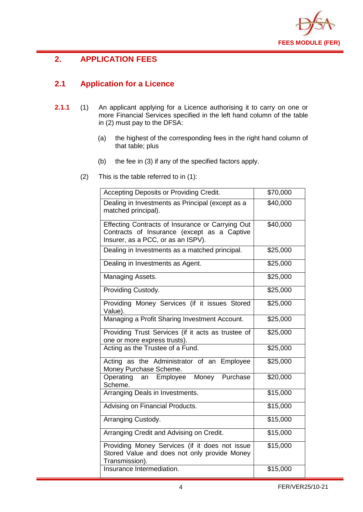

## <span id="page-5-0"></span>**2. APPLICATION FEES**

## <span id="page-5-1"></span>**2.1 Application for a Licence**

- **2.1.1** (1) An applicant applying for a Licence authorising it to carry on one or more Financial Services specified in the left hand column of the table in (2) must pay to the DFSA:
	- (a) the highest of the corresponding fees in the right hand column of that table; plus
	- (b) the fee in (3) if any of the specified factors apply.
	- (2) This is the table referred to in (1):

| Accepting Deposits or Providing Credit.                                                                                               | \$70,000 |
|---------------------------------------------------------------------------------------------------------------------------------------|----------|
| Dealing in Investments as Principal (except as a<br>matched principal).                                                               | \$40,000 |
| Effecting Contracts of Insurance or Carrying Out<br>Contracts of Insurance (except as a Captive<br>Insurer, as a PCC, or as an ISPV). | \$40,000 |
| Dealing in Investments as a matched principal.                                                                                        | \$25,000 |
| Dealing in Investments as Agent.                                                                                                      | \$25,000 |
| Managing Assets.                                                                                                                      | \$25,000 |
| Providing Custody.                                                                                                                    | \$25,000 |
| Providing Money Services (if it issues Stored<br>Value).                                                                              | \$25,000 |
| Managing a Profit Sharing Investment Account.                                                                                         | \$25,000 |
| Providing Trust Services (if it acts as trustee of<br>one or more express trusts).                                                    | \$25,000 |
| Acting as the Trustee of a Fund.                                                                                                      | \$25,000 |
| Acting as the Administrator of an Employee<br>Money Purchase Scheme.                                                                  | \$25,000 |
| Money Purchase<br>Operating<br>an Employee<br>Scheme.                                                                                 | \$20,000 |
| Arranging Deals in Investments.                                                                                                       | \$15,000 |
| Advising on Financial Products.                                                                                                       | \$15,000 |
| Arranging Custody.                                                                                                                    | \$15,000 |
| Arranging Credit and Advising on Credit.                                                                                              | \$15,000 |
| Providing Money Services (if it does not issue<br>Stored Value and does not only provide Money<br>Transmission).                      | \$15,000 |
| Insurance Intermediation.                                                                                                             | \$15,000 |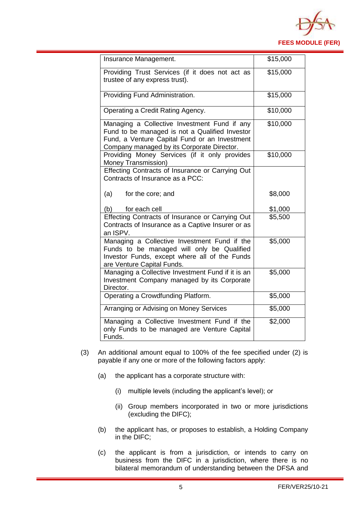

| Insurance Management.                                                                                                                                                                         | \$15,000 |
|-----------------------------------------------------------------------------------------------------------------------------------------------------------------------------------------------|----------|
| Providing Trust Services (if it does not act as<br>trustee of any express trust).                                                                                                             | \$15,000 |
| Providing Fund Administration.                                                                                                                                                                | \$15,000 |
| Operating a Credit Rating Agency.                                                                                                                                                             | \$10,000 |
| Managing a Collective Investment Fund if any<br>Fund to be managed is not a Qualified Investor<br>Fund, a Venture Capital Fund or an Investment<br>Company managed by its Corporate Director. | \$10,000 |
| Providing Money Services (if it only provides<br>Money Transmission)                                                                                                                          | \$10,000 |
| Effecting Contracts of Insurance or Carrying Out<br>Contracts of Insurance as a PCC:                                                                                                          |          |
| (a)<br>for the core; and                                                                                                                                                                      | \$8,000  |
| (b)<br>for each cell                                                                                                                                                                          | \$1,000  |
| Effecting Contracts of Insurance or Carrying Out<br>Contracts of Insurance as a Captive Insurer or as<br>an ISPV.                                                                             | \$5,500  |
| Managing a Collective Investment Fund if the<br>Funds to be managed will only be Qualified<br>Investor Funds, except where all of the Funds<br>are Venture Capital Funds.                     | \$5,000  |
| Managing a Collective Investment Fund if it is an<br>Investment Company managed by its Corporate<br>Director.                                                                                 | \$5,000  |
| Operating a Crowdfunding Platform.                                                                                                                                                            | \$5,000  |
| Arranging or Advising on Money Services                                                                                                                                                       | \$5,000  |
| Managing a Collective Investment Fund if the<br>only Funds to be managed are Venture Capital<br>Funds.                                                                                        | \$2,000  |

- (3) An additional amount equal to 100% of the fee specified under (2) is payable if any one or more of the following factors apply:
	- (a) the applicant has a corporate structure with:
		- (i) multiple levels (including the applicant's level); or
		- (ii) Group members incorporated in two or more jurisdictions (excluding the DIFC);
	- (b) the applicant has, or proposes to establish, a Holding Company in the DIFC;
	- (c) the applicant is from a jurisdiction, or intends to carry on business from the DIFC in a jurisdiction, where there is no bilateral memorandum of understanding between the DFSA and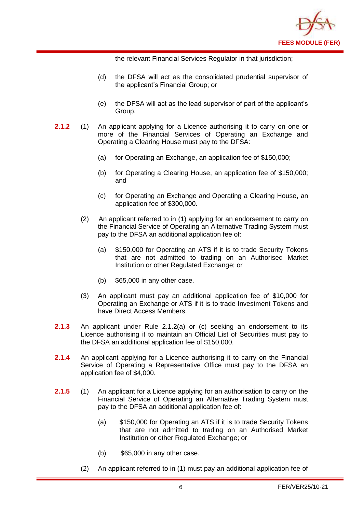

the relevant Financial Services Regulator in that jurisdiction;

- (d) the DFSA will act as the consolidated prudential supervisor of the applicant's Financial Group; or
- (e) the DFSA will act as the lead supervisor of part of the applicant's Group.
- **2.1.2** (1) An applicant applying for a Licence authorising it to carry on one or more of the Financial Services of Operating an Exchange and Operating a Clearing House must pay to the DFSA:
	- (a) for Operating an Exchange, an application fee of \$150,000;
	- (b) for Operating a Clearing House, an application fee of \$150,000; and
	- (c) for Operating an Exchange and Operating a Clearing House, an application fee of \$300,000.
	- (2) An applicant referred to in (1) applying for an endorsement to carry on the Financial Service of Operating an Alternative Trading System must pay to the DFSA an additional application fee of:
		- (a) \$150,000 for Operating an ATS if it is to trade Security Tokens that are not admitted to trading on an Authorised Market Institution or other Regulated Exchange; or
		- (b) \$65,000 in any other case.
	- (3) An applicant must pay an additional application fee of \$10,000 for Operating an Exchange or ATS if it is to trade Investment Tokens and have Direct Access Members.
- **2.1.3** An applicant under Rule 2.1.2(a) or (c) seeking an endorsement to its Licence authorising it to maintain an Official List of Securities must pay to the DFSA an additional application fee of \$150,000.
- **2.1.4** An applicant applying for a Licence authorising it to carry on the Financial Service of Operating a Representative Office must pay to the DFSA an application fee of \$4,000.
- **2.1.5** (1) An applicant for a Licence applying for an authorisation to carry on the Financial Service of Operating an Alternative Trading System must pay to the DFSA an additional application fee of:
	- (a) \$150,000 for Operating an ATS if it is to trade Security Tokens that are not admitted to trading on an Authorised Market Institution or other Regulated Exchange; or
	- (b) \$65,000 in any other case.
	- (2) An applicant referred to in (1) must pay an additional application fee of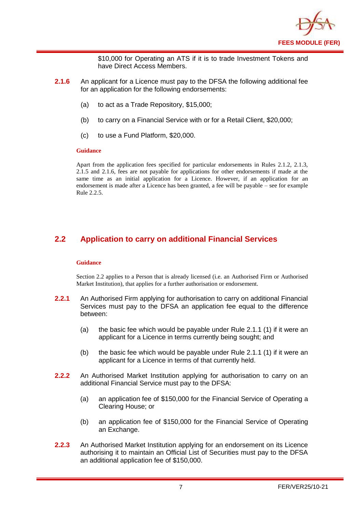

\$10,000 for Operating an ATS if it is to trade Investment Tokens and have Direct Access Members.

- **2.1.6** An applicant for a Licence must pay to the DFSA the following additional fee for an application for the following endorsements:
	- (a) to act as a Trade Repository, \$15,000;
	- (b) to carry on a Financial Service with or for a Retail Client, \$20,000;
	- (c) to use a Fund Platform, \$20,000.

#### **Guidance**

Apart from the application fees specified for particular endorsements in Rules 2.1.2, 2.1.3, 2.1.5 and 2.1.6, fees are not payable for applications for other endorsements if made at the same time as an initial application for a Licence. However, if an application for an endorsement is made after a Licence has been granted, a fee will be payable – see for example Rule 2.2.5.

## <span id="page-8-0"></span>**2.2 Application to carry on additional Financial Services**

#### **Guidance**

Section 2.2 applies to a Person that is already licensed (i.e. an Authorised Firm or Authorised Market Institution), that applies for a further authorisation or endorsement.

- **2.2.1** An Authorised Firm applying for authorisation to carry on additional Financial Services must pay to the DFSA an application fee equal to the difference between:
	- (a) the basic fee which would be payable under Rule 2.1.1 (1) if it were an applicant for a Licence in terms currently being sought; and
	- (b) the basic fee which would be payable under Rule 2.1.1 (1) if it were an applicant for a Licence in terms of that currently held.
- **2.2.2** An Authorised Market Institution applying for authorisation to carry on an additional Financial Service must pay to the DFSA:
	- (a) an application fee of \$150,000 for the Financial Service of Operating a Clearing House; or
	- (b) an application fee of \$150,000 for the Financial Service of Operating an Exchange.
- **2.2.3** An Authorised Market Institution applying for an endorsement on its Licence authorising it to maintain an Official List of Securities must pay to the DFSA an additional application fee of \$150,000.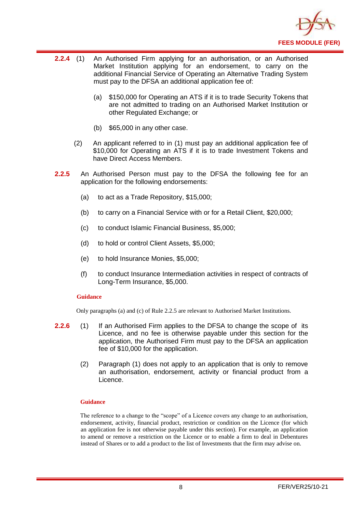

- **2.2.4** (1) An Authorised Firm applying for an authorisation, or an Authorised Market Institution applying for an endorsement, to carry on the additional Financial Service of Operating an Alternative Trading System must pay to the DFSA an additional application fee of:
	- (a) \$150,000 for Operating an ATS if it is to trade Security Tokens that are not admitted to trading on an Authorised Market Institution or other Regulated Exchange; or
	- (b) \$65,000 in any other case.
	- (2) An applicant referred to in (1) must pay an additional application fee of \$10,000 for Operating an ATS if it is to trade Investment Tokens and have Direct Access Members.
- **2.2.5** An Authorised Person must pay to the DFSA the following fee for an application for the following endorsements:
	- (a) to act as a Trade Repository, \$15,000;
	- (b) to carry on a Financial Service with or for a Retail Client, \$20,000;
	- (c) to conduct Islamic Financial Business, \$5,000;
	- (d) to hold or control Client Assets, \$5,000;
	- (e) to hold Insurance Monies, \$5,000;
	- (f) to conduct Insurance Intermediation activities in respect of contracts of Long-Term Insurance, \$5,000.

#### **Guidance**

Only paragraphs (a) and (c) of Rule 2.2.5 are relevant to Authorised Market Institutions.

- **2.2.6** (1) If an Authorised Firm applies to the DFSA to change the scope of its Licence, and no fee is otherwise payable under this section for the application, the Authorised Firm must pay to the DFSA an application fee of \$10,000 for the application.
	- (2) Paragraph (1) does not apply to an application that is only to remove an authorisation, endorsement, activity or financial product from a Licence.

#### **Guidance**

The reference to a change to the "scope" of a Licence covers any change to an authorisation, endorsement, activity, financial product, restriction or condition on the Licence (for which an application fee is not otherwise payable under this section). For example, an application to amend or remove a restriction on the Licence or to enable a firm to deal in Debentures instead of Shares or to add a product to the list of Investments that the firm may advise on.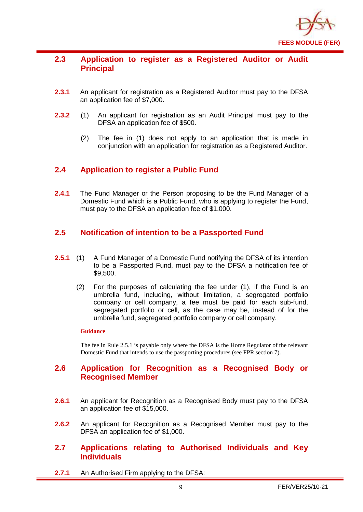

## <span id="page-10-0"></span>**2.3 Application to register as a Registered Auditor or Audit Principal**

- **2.3.1** An applicant for registration as a Registered Auditor must pay to the DFSA an application fee of \$7,000.
- **2.3.2** (1) An applicant for registration as an Audit Principal must pay to the DFSA an application fee of \$500.
	- (2) The fee in (1) does not apply to an application that is made in conjunction with an application for registration as a Registered Auditor.

## <span id="page-10-1"></span>**2.4 Application to register a Public Fund**

**2.4.1** The Fund Manager or the Person proposing to be the Fund Manager of a Domestic Fund which is a Public Fund, who is applying to register the Fund, must pay to the DFSA an application fee of \$1,000.

## <span id="page-10-2"></span>**2.5 Notification of intention to be a Passported Fund**

- **2.5.1** (1) A Fund Manager of a Domestic Fund notifying the DFSA of its intention to be a Passported Fund, must pay to the DFSA a notification fee of \$9,500.
	- (2) For the purposes of calculating the fee under (1), if the Fund is an umbrella fund, including, without limitation, a segregated portfolio company or cell company, a fee must be paid for each sub-fund, segregated portfolio or cell, as the case may be, instead of for the umbrella fund, segregated portfolio company or cell company.

#### **Guidance**

The fee in Rule 2.5.1 is payable only where the DFSA is the Home Regulator of the relevant Domestic Fund that intends to use the passporting procedures (see FPR section 7).

## <span id="page-10-3"></span>**2.6 Application for Recognition as a Recognised Body or Recognised Member**

- **2.6.1** An applicant for Recognition as a Recognised Body must pay to the DFSA an application fee of \$15,000.
- **2.6.2** An applicant for Recognition as a Recognised Member must pay to the DFSA an application fee of \$1,000.

## <span id="page-10-4"></span>**2.7 Applications relating to Authorised Individuals and Key Individuals**

**2.7.1** An Authorised Firm applying to the DFSA: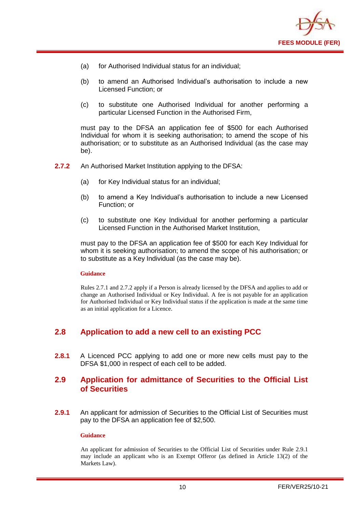

- (a) for Authorised Individual status for an individual;
- (b) to amend an Authorised Individual's authorisation to include a new Licensed Function; or
- (c) to substitute one Authorised Individual for another performing a particular Licensed Function in the Authorised Firm,

must pay to the DFSA an application fee of \$500 for each Authorised Individual for whom it is seeking authorisation; to amend the scope of his authorisation; or to substitute as an Authorised Individual (as the case may be).

- **2.7.2** An Authorised Market Institution applying to the DFSA:
	- (a) for Key Individual status for an individual;
	- (b) to amend a Key Individual's authorisation to include a new Licensed Function; or
	- (c) to substitute one Key Individual for another performing a particular Licensed Function in the Authorised Market Institution,

must pay to the DFSA an application fee of \$500 for each Key Individual for whom it is seeking authorisation; to amend the scope of his authorisation; or to substitute as a Key Individual (as the case may be).

#### **Guidance**

Rules 2.7.1 and 2.7.2 apply if a Person is already licensed by the DFSA and applies to add or change an Authorised Individual or Key Individual. A fee is not payable for an application for Authorised Individual or Key Individual status if the application is made at the same time as an initial application for a Licence.

## <span id="page-11-0"></span>**2.8 Application to add a new cell to an existing PCC**

**2.8.1** A Licenced PCC applying to add one or more new cells must pay to the DFSA \$1,000 in respect of each cell to be added.

## <span id="page-11-1"></span>**2.9 Application for admittance of Securities to the Official List of Securities**

**2.9.1** An applicant for admission of Securities to the Official List of Securities must pay to the DFSA an application fee of \$2,500.

#### **Guidance**

An applicant for admission of Securities to the Official List of Securities under Rule 2.9.1 may include an applicant who is an Exempt Offeror (as defined in Article 13(2) of the Markets Law).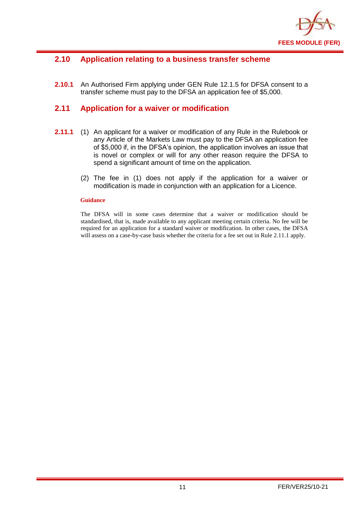

## <span id="page-12-0"></span>**2.10 Application relating to a business transfer scheme**

**2.10.1** An Authorised Firm applying under GEN Rule 12.1.5 for DFSA consent to a transfer scheme must pay to the DFSA an application fee of \$5,000.

#### <span id="page-12-1"></span>**2.11 Application for a waiver or modification**

- **2.11.1** (1) An applicant for a waiver or modification of any Rule in the Rulebook or any Article of the Markets Law must pay to the DFSA an application fee of \$5,000 if, in the DFSA's opinion, the application involves an issue that is novel or complex or will for any other reason require the DFSA to spend a significant amount of time on the application.
	- (2) The fee in (1) does not apply if the application for a waiver or modification is made in conjunction with an application for a Licence.

#### **Guidance**

The DFSA will in some cases determine that a waiver or modification should be standardised, that is, made available to any applicant meeting certain criteria. No fee will be required for an application for a standard waiver or modification. In other cases, the DFSA will assess on a case-by-case basis whether the criteria for a fee set out in Rule 2.11.1 apply.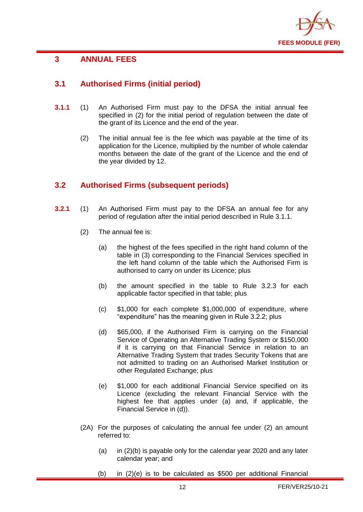

## <span id="page-13-0"></span>**3 ANNUAL FEES**

## <span id="page-13-1"></span>**3.1 Authorised Firms (initial period)**

- **3.1.1** (1) An Authorised Firm must pay to the DFSA the initial annual fee specified in (2) for the initial period of regulation between the date of the grant of its Licence and the end of the year.
	- (2) The initial annual fee is the fee which was payable at the time of its application for the Licence, multiplied by the number of whole calendar months between the date of the grant of the Licence and the end of the year divided by 12.

## <span id="page-13-2"></span>**3.2 Authorised Firms (subsequent periods)**

- **3.2.1** (1) An Authorised Firm must pay to the DFSA an annual fee for any period of regulation after the initial period described in Rule 3.1.1.
	- (2) The annual fee is:
		- (a) the highest of the fees specified in the right hand column of the table in (3) corresponding to the Financial Services specified in the left hand column of the table which the Authorised Firm is authorised to carry on under its Licence; plus
		- (b) the amount specified in the table to Rule 3.2.3 for each applicable factor specified in that table; plus
		- (c) \$1,000 for each complete \$1,000,000 of expenditure, where "expenditure" has the meaning given in Rule 3.2.2; plus
		- (d) \$65,000, if the Authorised Firm is carrying on the Financial Service of Operating an Alternative Trading System or \$150,000 if it is carrying on that Financial Service in relation to an Alternative Trading System that trades Security Tokens that are not admitted to trading on an Authorised Market Institution or other Regulated Exchange; plus
		- (e) \$1,000 for each additional Financial Service specified on its Licence (excluding the relevant Financial Service with the highest fee that applies under (a) and, if applicable, the Financial Service in (d)).
	- (2A) For the purposes of calculating the annual fee under (2) an amount referred to:
		- (a) in  $(2)(b)$  is payable only for the calendar year 2020 and any later calendar year; and
		- (b) in (2)(e) is to be calculated as \$500 per additional Financial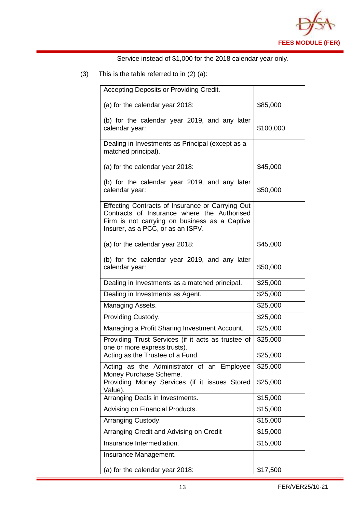

Service instead of \$1,000 for the 2018 calendar year only.

(3) This is the table referred to in (2) (a):

| Accepting Deposits or Providing Credit.                                                                                                                                               |           |
|---------------------------------------------------------------------------------------------------------------------------------------------------------------------------------------|-----------|
| (a) for the calendar year 2018:                                                                                                                                                       | \$85,000  |
| (b) for the calendar year 2019, and any later<br>calendar year:                                                                                                                       | \$100,000 |
| Dealing in Investments as Principal (except as a<br>matched principal).                                                                                                               |           |
| (a) for the calendar year 2018:                                                                                                                                                       | \$45,000  |
| (b) for the calendar year 2019, and any later<br>calendar year:                                                                                                                       | \$50,000  |
| Effecting Contracts of Insurance or Carrying Out<br>Contracts of Insurance where the Authorised<br>Firm is not carrying on business as a Captive<br>Insurer, as a PCC, or as an ISPV. |           |
| (a) for the calendar year 2018:                                                                                                                                                       | \$45,000  |
| (b) for the calendar year 2019, and any later<br>calendar year:                                                                                                                       | \$50,000  |
| Dealing in Investments as a matched principal.                                                                                                                                        | \$25,000  |
| Dealing in Investments as Agent.                                                                                                                                                      | \$25,000  |
| Managing Assets.                                                                                                                                                                      | \$25,000  |
| Providing Custody.                                                                                                                                                                    | \$25,000  |
| Managing a Profit Sharing Investment Account.                                                                                                                                         | \$25,000  |
| Providing Trust Services (if it acts as trustee of<br>one or more express trusts).                                                                                                    | \$25,000  |
| Acting as the Trustee of a Fund.                                                                                                                                                      | \$25,000  |
| Acting as the Administrator of an Employee<br>Money Purchase Scheme.                                                                                                                  | \$25,000  |
| Providing Money Services (if it issues Stored<br>Value).                                                                                                                              | \$25,000  |
| Arranging Deals in Investments.                                                                                                                                                       | \$15,000  |
| Advising on Financial Products.                                                                                                                                                       | \$15,000  |
| Arranging Custody.                                                                                                                                                                    | \$15,000  |
| Arranging Credit and Advising on Credit                                                                                                                                               | \$15,000  |
| Insurance Intermediation.                                                                                                                                                             | \$15,000  |
| Insurance Management.                                                                                                                                                                 |           |
| (a) for the calendar year 2018:                                                                                                                                                       | \$17,500  |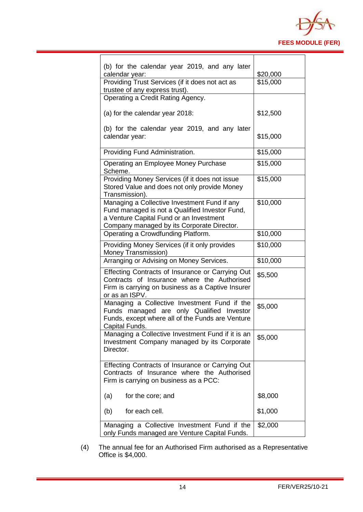

| (b) for the calendar year 2019, and any later<br>calendar year:                                                                                                                         | \$20,000 |
|-----------------------------------------------------------------------------------------------------------------------------------------------------------------------------------------|----------|
| Providing Trust Services (if it does not act as<br>trustee of any express trust).                                                                                                       | \$15,000 |
| Operating a Credit Rating Agency.                                                                                                                                                       |          |
| (a) for the calendar year 2018:                                                                                                                                                         | \$12,500 |
| (b) for the calendar year 2019, and any later<br>calendar year:                                                                                                                         | \$15,000 |
| Providing Fund Administration.                                                                                                                                                          | \$15,000 |
| Operating an Employee Money Purchase<br>Scheme.                                                                                                                                         | \$15,000 |
| Providing Money Services (if it does not issue<br>Stored Value and does not only provide Money<br>Transmission).                                                                        | \$15,000 |
| Managing a Collective Investment Fund if any<br>Fund managed is not a Qualified Investor Fund,<br>a Venture Capital Fund or an Investment<br>Company managed by its Corporate Director. | \$10,000 |
| Operating a Crowdfunding Platform.                                                                                                                                                      | \$10,000 |
| Providing Money Services (if it only provides<br>Money Transmission)                                                                                                                    | \$10,000 |
| Arranging or Advising on Money Services.                                                                                                                                                | \$10,000 |
| Effecting Contracts of Insurance or Carrying Out<br>Contracts of Insurance where the Authorised<br>Firm is carrying on business as a Captive Insurer<br>or as an ISPV.                  | \$5,500  |
| Managing a Collective Investment Fund if the<br>Funds managed are only Qualified Investor<br>Funds, except where all of the Funds are Venture<br>Capital Funds.                         | \$5,000  |
| Managing a Collective Investment Fund if it is an<br>Investment Company managed by its Corporate<br>Director.                                                                           | \$5,000  |
| Effecting Contracts of Insurance or Carrying Out<br>Contracts of Insurance where the Authorised<br>Firm is carrying on business as a PCC:                                               |          |
| (a)<br>for the core; and                                                                                                                                                                | \$8,000  |
| for each cell.<br>(b)                                                                                                                                                                   | \$1,000  |
| Managing a Collective Investment Fund if the<br>only Funds managed are Venture Capital Funds.                                                                                           | \$2,000  |

(4) The annual fee for an Authorised Firm authorised as a Representative Office is \$4,000.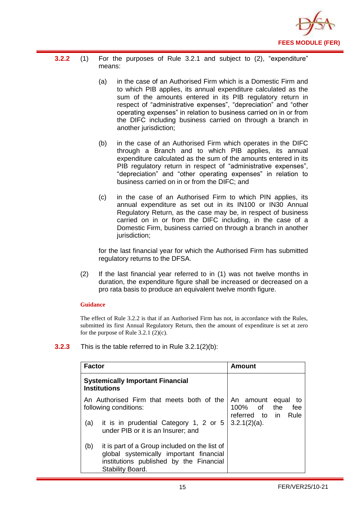

- **3.2.2** (1) For the purposes of Rule 3.2.1 and subject to (2), "expenditure" means:
	- (a) in the case of an Authorised Firm which is a Domestic Firm and to which PIB applies, its annual expenditure calculated as the sum of the amounts entered in its PIB regulatory return in respect of "administrative expenses", "depreciation" and "other operating expenses" in relation to business carried on in or from the DIFC including business carried on through a branch in another jurisdiction;
	- (b) in the case of an Authorised Firm which operates in the DIFC through a Branch and to which PIB applies, its annual expenditure calculated as the sum of the amounts entered in its PIB regulatory return in respect of "administrative expenses", "depreciation" and "other operating expenses" in relation to business carried on in or from the DIFC; and
	- (c) in the case of an Authorised Firm to which PIN applies, its annual expenditure as set out in its IN100 or IN30 Annual Regulatory Return, as the case may be, in respect of business carried on in or from the DIFC including, in the case of a Domestic Firm, business carried on through a branch in another jurisdiction;

for the last financial year for which the Authorised Firm has submitted regulatory returns to the DFSA.

(2) If the last financial year referred to in (1) was not twelve months in duration, the expenditure figure shall be increased or decreased on a pro rata basis to produce an equivalent twelve month figure.

#### **Guidance**

The effect of Rule 3.2.2 is that if an Authorised Firm has not, in accordance with the Rules, submitted its first Annual Regulatory Return, then the amount of expenditure is set at zero for the purpose of Rule  $3.2.1$  (2)(c).

**3.2.3** This is the table referred to in Rule 3.2.1(2)(b):

| <b>Factor</b>                                                      |                                                                                                                                                         | Amount                                                                   |
|--------------------------------------------------------------------|---------------------------------------------------------------------------------------------------------------------------------------------------------|--------------------------------------------------------------------------|
| <b>Systemically Important Financial</b><br><b>Institutions</b>     |                                                                                                                                                         |                                                                          |
| An Authorised Firm that meets both of the<br>following conditions: |                                                                                                                                                         | An amount<br>equal<br>to<br>100% of<br>the<br>fee<br>referred to in Rule |
| (a)                                                                | it is in prudential Category 1, 2 or 5<br>under PIB or it is an Insurer; and                                                                            | $3.2.1(2)(a)$ .                                                          |
| (b)                                                                | it is part of a Group included on the list of<br>global systemically important financial<br>institutions published by the Financial<br>Stability Board. |                                                                          |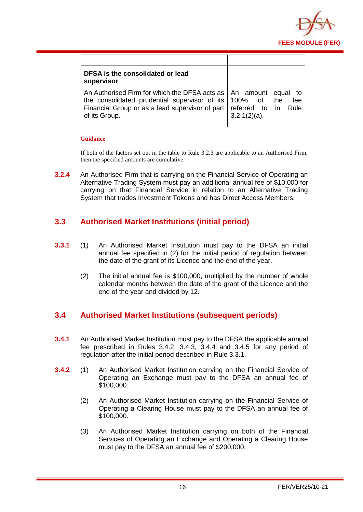

| DFSA is the consolidated or lead<br>supervisor                                                                                                                                                                             |                              |
|----------------------------------------------------------------------------------------------------------------------------------------------------------------------------------------------------------------------------|------------------------------|
| An Authorised Firm for which the DFSA acts as   An amount equal<br>the consolidated prudential supervisor of its $ 100\%$ of the<br>Financial Group or as a lead supervisor of part   referred to in Rule<br>of its Group. | to<br>fee<br>$3.2.1(2)(a)$ . |

#### **Guidance**

If both of the factors set out in the table to Rule 3.2.3 are applicable to an Authorised Firm, then the specified amounts are cumulative.

**3.2.4** An Authorised Firm that is carrying on the Financial Service of Operating an Alternative Trading System must pay an additional annual fee of \$10,000 for carrying on that Financial Service in relation to an Alternative Trading System that trades Investment Tokens and has Direct Access Members.

## <span id="page-17-0"></span>**3.3 Authorised Market Institutions (initial period)**

- **3.3.1** (1) An Authorised Market Institution must pay to the DFSA an initial annual fee specified in (2) for the initial period of regulation between the date of the grant of its Licence and the end of the year.
	- (2) The initial annual fee is \$100,000, multiplied by the number of whole calendar months between the date of the grant of the Licence and the end of the year and divided by 12.

## <span id="page-17-1"></span>**3.4 Authorised Market Institutions (subsequent periods)**

- **3.4.1** An Authorised Market Institution must pay to the DFSA the applicable annual fee prescribed in Rules 3.4.2, 3.4.3, 3.4.4 and 3.4.5 for any period of regulation after the initial period described in Rule 3.3.1.
- **3.4.2** (1) An Authorised Market Institution carrying on the Financial Service of Operating an Exchange must pay to the DFSA an annual fee of \$100,000.
	- (2) An Authorised Market Institution carrying on the Financial Service of Operating a Clearing House must pay to the DFSA an annual fee of \$100,000.
	- (3) An Authorised Market Institution carrying on both of the Financial Services of Operating an Exchange and Operating a Clearing House must pay to the DFSA an annual fee of \$200,000.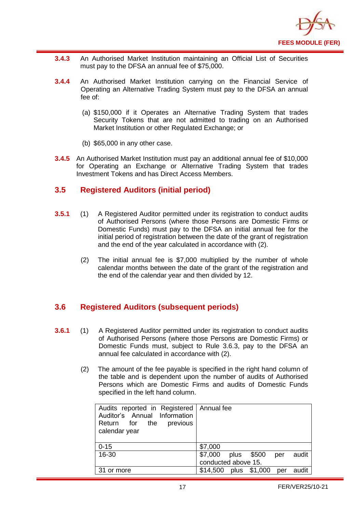

- **3.4.3** An Authorised Market Institution maintaining an Official List of Securities must pay to the DFSA an annual fee of \$75,000.
- **3.4.4** An Authorised Market Institution carrying on the Financial Service of Operating an Alternative Trading System must pay to the DFSA an annual fee of:
	- (a) \$150,000 if it Operates an Alternative Trading System that trades Security Tokens that are not admitted to trading on an Authorised Market Institution or other Regulated Exchange; or
	- (b) \$65,000 in any other case.
- **3.4.5** An Authorised Market Institution must pay an additional annual fee of \$10,000 for Operating an Exchange or Alternative Trading System that trades Investment Tokens and has Direct Access Members.

## <span id="page-18-0"></span>**3.5 Registered Auditors (initial period)**

- **3.5.1** (1) A Registered Auditor permitted under its registration to conduct audits of Authorised Persons (where those Persons are Domestic Firms or Domestic Funds) must pay to the DFSA an initial annual fee for the initial period of registration between the date of the grant of registration and the end of the year calculated in accordance with (2).
	- (2) The initial annual fee is \$7,000 multiplied by the number of whole calendar months between the date of the grant of the registration and the end of the calendar year and then divided by 12.

## <span id="page-18-1"></span>**3.6 Registered Auditors (subsequent periods)**

- **3.6.1** (1) A Registered Auditor permitted under its registration to conduct audits of Authorised Persons (where those Persons are Domestic Firms) or Domestic Funds must, subject to Rule 3.6.3, pay to the DFSA an annual fee calculated in accordance with (2).
	- (2) The amount of the fee payable is specified in the right hand column of the table and is dependent upon the number of audits of Authorised Persons which are Domestic Firms and audits of Domestic Funds specified in the left hand column.

| $0 - 15$<br>16-30 | \$7,000<br>\$7,000<br>plus \$500<br>audit<br>per |
|-------------------|--------------------------------------------------|
|                   | conducted above 15.                              |
| 31 or more        | plus \$1,000<br>\$14,500<br>audit<br>per         |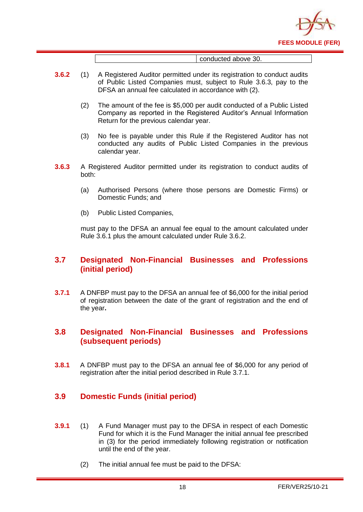

conducted above 30.

- **3.6.2** (1) A Registered Auditor permitted under its registration to conduct audits of Public Listed Companies must, subject to Rule 3.6.3, pay to the DFSA an annual fee calculated in accordance with (2).
	- (2) The amount of the fee is \$5,000 per audit conducted of a Public Listed Company as reported in the Registered Auditor's Annual Information Return for the previous calendar year.
	- (3) No fee is payable under this Rule if the Registered Auditor has not conducted any audits of Public Listed Companies in the previous calendar year.
- **3.6.3** A Registered Auditor permitted under its registration to conduct audits of both:
	- (a) Authorised Persons (where those persons are Domestic Firms) or Domestic Funds; and
	- (b) Public Listed Companies,

must pay to the DFSA an annual fee equal to the amount calculated under Rule 3.6.1 plus the amount calculated under Rule 3.6.2.

## <span id="page-19-0"></span>**3.7 Designated Non-Financial Businesses and Professions (initial period)**

**3.7.1** A DNFBP must pay to the DFSA an annual fee of \$6,000 for the initial period of registration between the date of the grant of registration and the end of the year**.** 

## <span id="page-19-1"></span>**3.8 Designated Non-Financial Businesses and Professions (subsequent periods)**

**3.8.1** A DNFBP must pay to the DFSA an annual fee of \$6,000 for any period of registration after the initial period described in Rule 3.7.1.

## <span id="page-19-2"></span>**3.9 Domestic Funds (initial period)**

- **3.9.1** (1) A Fund Manager must pay to the DFSA in respect of each Domestic Fund for which it is the Fund Manager the initial annual fee prescribed in (3) for the period immediately following registration or notification until the end of the year.
	- (2) The initial annual fee must be paid to the DFSA: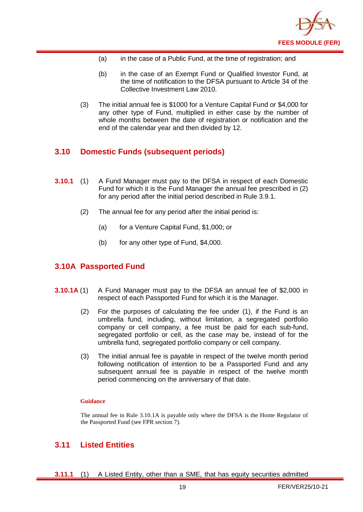

- (a) in the case of a Public Fund, at the time of registration; and
- (b) in the case of an Exempt Fund or Qualified Investor Fund, at the time of notification to the DFSA pursuant to Article 34 of the Collective Investment Law 2010.
- (3) The initial annual fee is \$1000 for a Venture Capital Fund or \$4,000 for any other type of Fund, multiplied in either case by the number of whole months between the date of registration or notification and the end of the calendar year and then divided by 12.

## <span id="page-20-0"></span>**3.10 Domestic Funds (subsequent periods)**

- **3.10.1** (1) A Fund Manager must pay to the DFSA in respect of each Domestic Fund for which it is the Fund Manager the annual fee prescribed in (2) for any period after the initial period described in Rule 3.9.1.
	- (2) The annual fee for any period after the initial period is:
		- (a) for a Venture Capital Fund, \$1,000; or
		- (b) for any other type of Fund, \$4,000.

## <span id="page-20-1"></span>**3.10A Passported Fund**

- **3.10.1A** (1) A Fund Manager must pay to the DFSA an annual fee of \$2,000 in respect of each Passported Fund for which it is the Manager.
	- (2) For the purposes of calculating the fee under (1), if the Fund is an umbrella fund, including, without limitation, a segregated portfolio company or cell company, a fee must be paid for each sub-fund, segregated portfolio or cell, as the case may be, instead of for the umbrella fund, segregated portfolio company or cell company.
	- (3) The initial annual fee is payable in respect of the twelve month period following notification of intention to be a Passported Fund and any subsequent annual fee is payable in respect of the twelve month period commencing on the anniversary of that date.

#### **Guidance**

The annual fee in Rule 3.10.1A is payable only where the DFSA is the Home Regulator of the Passported Fund (see FPR section 7).

### <span id="page-20-2"></span>**3.11 Listed Entities**

**3.11.1** (1) A Listed Entity, other than a SME, that has equity securities admitted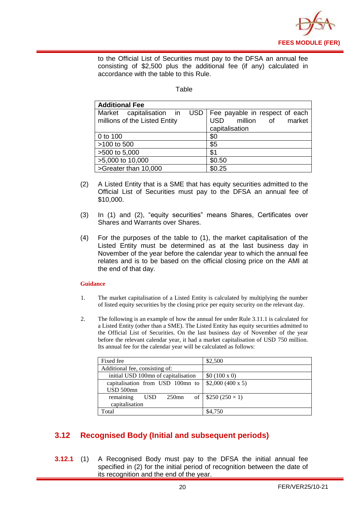

to the Official List of Securities must pay to the DFSA an annual fee consisting of \$2,500 plus the additional fee (if any) calculated in accordance with the table to this Rule.

#### **Table**

| <b>Additional Fee</b>                                     |                                                                                      |
|-----------------------------------------------------------|--------------------------------------------------------------------------------------|
| Market capitalisation in<br>millions of the Listed Entity | USD   Fee payable in respect of each  <br>USD million of<br>market<br>capitalisation |
| 0 to 100                                                  | \$0                                                                                  |
| >100 to 500                                               | \$5                                                                                  |
| >500 to 5,000                                             | \$1                                                                                  |
| >5,000 to 10,000                                          | \$0.50                                                                               |
| >Greater than 10,000                                      | \$0.25                                                                               |

- (2) A Listed Entity that is a SME that has equity securities admitted to the Official List of Securities must pay to the DFSA an annual fee of \$10,000.
- (3) In (1) and (2), "equity securities" means Shares, Certificates over Shares and Warrants over Shares.
- (4) For the purposes of the table to (1), the market capitalisation of the Listed Entity must be determined as at the last business day in November of the year before the calendar year to which the annual fee relates and is to be based on the official closing price on the AMI at the end of that day.

#### **Guidance**

- 1. The market capitalisation of a Listed Entity is calculated by multiplying the number of listed equity securities by the closing price per equity security on the relevant day.
- 2. The following is an example of how the annual fee under Rule 3.11.1 is calculated for a Listed Entity (other than a SME). The Listed Entity has equity securities admitted to the Official List of Securities. On the last business day of November of the year before the relevant calendar year, it had a market capitalisation of USD 750 million. Its annual fee for the calendar year will be calculated as follows:

| Fixed fee                           | \$2,500                    |
|-------------------------------------|----------------------------|
| Additional fee, consisting of:      |                            |
| initial USD 100mn of capitalisation | \$0 (100 x 0)              |
| capitalisation from USD 100mn to    | \$2,000 (400 x 5)          |
| USD 500mn                           |                            |
| remaining<br><b>USD</b><br>$250$ mn | of   $$250 (250 \times 1)$ |
| capitalisation                      |                            |
| Total                               | \$4,750                    |

## <span id="page-21-0"></span>**3.12 Recognised Body (Initial and subsequent periods)**

**3.12.1** (1) A Recognised Body must pay to the DFSA the initial annual fee specified in (2) for the initial period of recognition between the date of its recognition and the end of the year.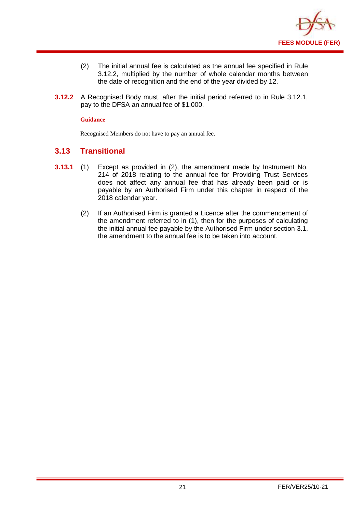

- (2) The initial annual fee is calculated as the annual fee specified in Rule 3.12.2, multiplied by the number of whole calendar months between the date of recognition and the end of the year divided by 12.
- **3.12.2** A Recognised Body must, after the initial period referred to in Rule 3.12.1, pay to the DFSA an annual fee of \$1,000.

#### **Guidance**

Recognised Members do not have to pay an annual fee.

## <span id="page-22-0"></span>**3.13 Transitional**

- **3.13.1** (1) Except as provided in (2), the amendment made by Instrument No. 214 of 2018 relating to the annual fee for Providing Trust Services does not affect any annual fee that has already been paid or is payable by an Authorised Firm under this chapter in respect of the 2018 calendar year.
	- (2) If an Authorised Firm is granted a Licence after the commencement of the amendment referred to in (1), then for the purposes of calculating the initial annual fee payable by the Authorised Firm under section 3.1, the amendment to the annual fee is to be taken into account.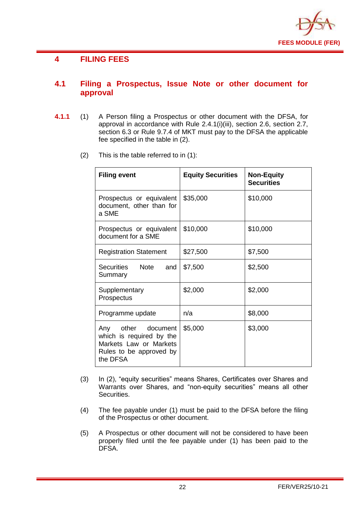

## <span id="page-23-0"></span>**4 FILING FEES**

## <span id="page-23-1"></span>**4.1 Filing a Prospectus, Issue Note or other document for approval**

- **4.1.1** (1) A Person filing a Prospectus or other document with the DFSA, for approval in accordance with Rule 2.4.1(i)(iii), section 2.6, section 2.7, section 6.3 or Rule 9.7.4 of MKT must pay to the DFSA the applicable fee specified in the table in (2).
	- (2) This is the table referred to in (1):

| <b>Filing event</b>                                                                                                | <b>Equity Securities</b> | <b>Non-Equity</b><br><b>Securities</b> |
|--------------------------------------------------------------------------------------------------------------------|--------------------------|----------------------------------------|
| Prospectus or equivalent<br>document, other than for<br>a SME                                                      | \$35,000                 | \$10,000                               |
| Prospectus or equivalent<br>document for a SME                                                                     | \$10,000                 | \$10,000                               |
| <b>Registration Statement</b>                                                                                      | \$27,500                 | \$7,500                                |
| Securities<br>Note<br>and<br>Summary                                                                               | \$7,500                  | \$2,500                                |
| Supplementary<br>Prospectus                                                                                        | \$2,000                  | \$2,000                                |
| Programme update                                                                                                   | n/a                      | \$8,000                                |
| other document<br>Any<br>which is required by the<br>Markets Law or Markets<br>Rules to be approved by<br>the DFSA | \$5,000                  | \$3,000                                |

- (3) In (2), "equity securities" means Shares, Certificates over Shares and Warrants over Shares, and "non-equity securities" means all other Securities.
- (4) The fee payable under (1) must be paid to the DFSA before the filing of the Prospectus or other document.
- (5) A Prospectus or other document will not be considered to have been properly filed until the fee payable under (1) has been paid to the DFSA.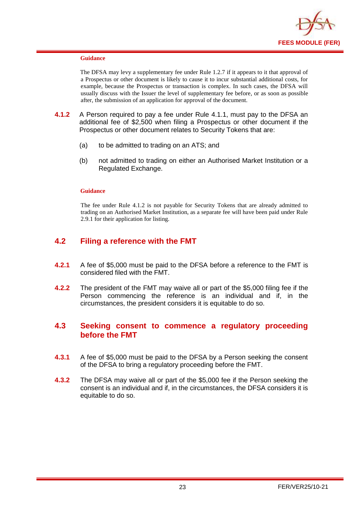

#### **Guidance**

The DFSA may levy a supplementary fee under Rule 1.2.7 if it appears to it that approval of a Prospectus or other document is likely to cause it to incur substantial additional costs, for example, because the Prospectus or transaction is complex. In such cases, the DFSA will usually discuss with the Issuer the level of supplementary fee before, or as soon as possible after, the submission of an application for approval of the document.

- **4.1.2** A Person required to pay a fee under Rule 4.1.1, must pay to the DFSA an additional fee of \$2,500 when filing a Prospectus or other document if the Prospectus or other document relates to Security Tokens that are:
	- (a) to be admitted to trading on an ATS; and
	- (b) not admitted to trading on either an Authorised Market Institution or a Regulated Exchange.

#### **Guidance**

The fee under Rule 4.1.2 is not payable for Security Tokens that are already admitted to trading on an Authorised Market Institution, as a separate fee will have been paid under Rule 2.9.1 for their application for listing.

## <span id="page-24-0"></span>**4.2 Filing a reference with the FMT**

- **4.2.1** A fee of \$5,000 must be paid to the DFSA before a reference to the FMT is considered filed with the FMT.
- **4.2.2** The president of the FMT may waive all or part of the \$5,000 filing fee if the Person commencing the reference is an individual and if, in the circumstances, the president considers it is equitable to do so.

## <span id="page-24-1"></span>**4.3 Seeking consent to commence a regulatory proceeding before the FMT**

- **4.3.1** A fee of \$5,000 must be paid to the DFSA by a Person seeking the consent of the DFSA to bring a regulatory proceeding before the FMT.
- **4.3.2** The DFSA may waive all or part of the \$5,000 fee if the Person seeking the consent is an individual and if, in the circumstances, the DFSA considers it is equitable to do so.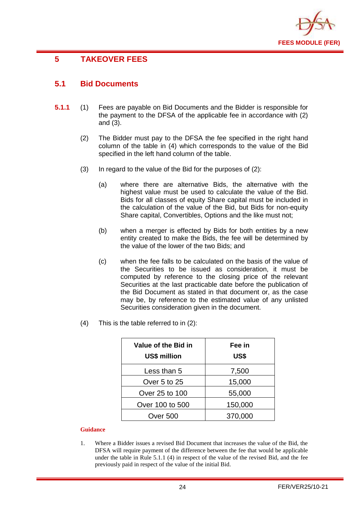

## <span id="page-25-0"></span>**5 TAKEOVER FEES**

## <span id="page-25-1"></span>**5.1 Bid Documents**

- **5.1.1** (1) Fees are payable on Bid Documents and the Bidder is responsible for the payment to the DFSA of the applicable fee in accordance with (2) and (3).
	- (2) The Bidder must pay to the DFSA the fee specified in the right hand column of the table in (4) which corresponds to the value of the Bid specified in the left hand column of the table.
	- (3) In regard to the value of the Bid for the purposes of (2):
		- (a) where there are alternative Bids, the alternative with the highest value must be used to calculate the value of the Bid. Bids for all classes of equity Share capital must be included in the calculation of the value of the Bid, but Bids for non-equity Share capital, Convertibles, Options and the like must not;
		- (b) when a merger is effected by Bids for both entities by a new entity created to make the Bids, the fee will be determined by the value of the lower of the two Bids; and
		- (c) when the fee falls to be calculated on the basis of the value of the Securities to be issued as consideration, it must be computed by reference to the closing price of the relevant Securities at the last practicable date before the publication of the Bid Document as stated in that document or, as the case may be, by reference to the estimated value of any unlisted Securities consideration given in the document.
	- (4) This is the table referred to in (2):

| Value of the Bid in<br><b>US\$ million</b> | Fee in<br>US\$ |
|--------------------------------------------|----------------|
| Less than 5                                | 7,500          |
| Over 5 to 25                               | 15,000         |
| Over 25 to 100                             | 55,000         |
| Over 100 to 500                            | 150,000        |
| Over 500                                   | 370,000        |

#### **Guidance**

1. Where a Bidder issues a revised Bid Document that increases the value of the Bid, the DFSA will require payment of the difference between the fee that would be applicable under the table in Rule 5.1.1 (4) in respect of the value of the revised Bid, and the fee previously paid in respect of the value of the initial Bid.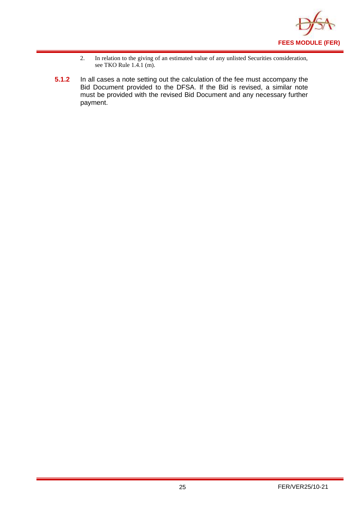

- 2. In relation to the giving of an estimated value of any unlisted Securities consideration, see TKO Rule 1.4.1 (m).
- **5.1.2** In all cases a note setting out the calculation of the fee must accompany the Bid Document provided to the DFSA. If the Bid is revised, a similar note must be provided with the revised Bid Document and any necessary further payment.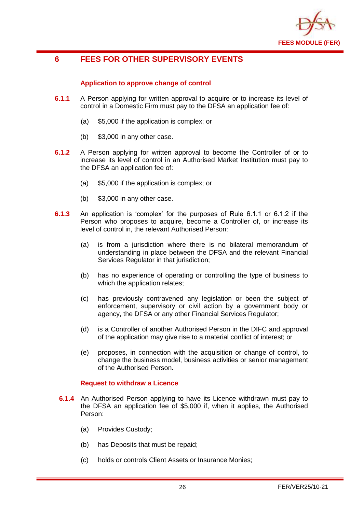

## <span id="page-27-0"></span>**6 FEES FOR OTHER SUPERVISORY EVENTS**

#### **Application to approve change of control**

- **6.1.1** A Person applying for written approval to acquire or to increase its level of control in a Domestic Firm must pay to the DFSA an application fee of:
	- (a) \$5,000 if the application is complex; or
	- (b) \$3,000 in any other case.
- **6.1.2** A Person applying for written approval to become the Controller of or to increase its level of control in an Authorised Market Institution must pay to the DFSA an application fee of:
	- (a) \$5,000 if the application is complex; or
	- (b) \$3,000 in any other case.
- **6.1.3** An application is 'complex' for the purposes of Rule 6.1.1 or 6.1.2 if the Person who proposes to acquire, become a Controller of, or increase its level of control in, the relevant Authorised Person:
	- (a) is from a jurisdiction where there is no bilateral memorandum of understanding in place between the DFSA and the relevant Financial Services Regulator in that jurisdiction;
	- (b) has no experience of operating or controlling the type of business to which the application relates;
	- (c) has previously contravened any legislation or been the subject of enforcement, supervisory or civil action by a government body or agency, the DFSA or any other Financial Services Regulator;
	- (d) is a Controller of another Authorised Person in the DIFC and approval of the application may give rise to a material conflict of interest; or
	- (e) proposes, in connection with the acquisition or change of control, to change the business model, business activities or senior management of the Authorised Person.

#### **Request to withdraw a Licence**

- **6.1.4** An Authorised Person applying to have its Licence withdrawn must pay to the DFSA an application fee of \$5,000 if, when it applies, the Authorised Person:
	- (a) Provides Custody;
	- (b) has Deposits that must be repaid;
	- (c) holds or controls Client Assets or Insurance Monies;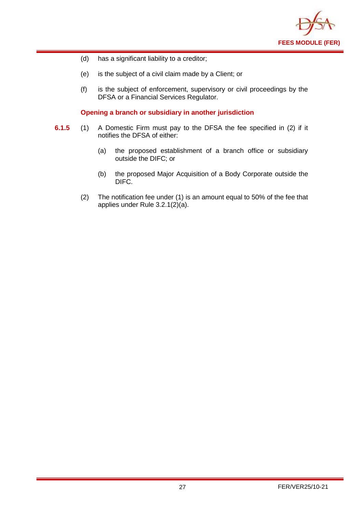

- (d) has a significant liability to a creditor;
- (e) is the subject of a civil claim made by a Client; or
- (f) is the subject of enforcement, supervisory or civil proceedings by the DFSA or a Financial Services Regulator.

#### **Opening a branch or subsidiary in another jurisdiction**

- **6.1.5** (1) A Domestic Firm must pay to the DFSA the fee specified in (2) if it notifies the DFSA of either:
	- (a) the proposed establishment of a branch office or subsidiary outside the DIFC; or
	- (b) the proposed Major Acquisition of a Body Corporate outside the DIFC.
	- (2) The notification fee under (1) is an amount equal to 50% of the fee that applies under Rule 3.2.1(2)(a).